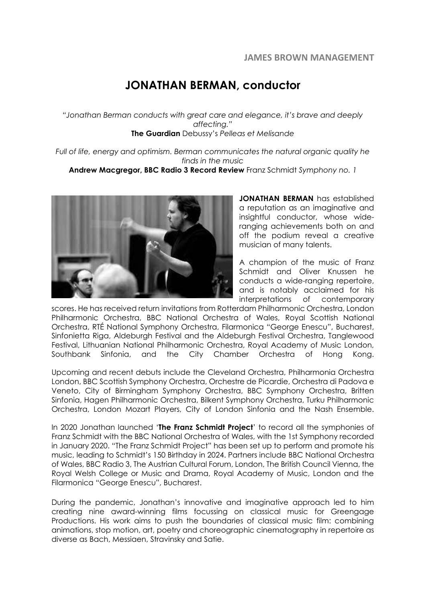## **JONATHAN BERMAN, conductor**

*"Jonathan Berman conducts with great care and elegance, it's brave and deeply affecting."* **The Guardian** Debussy's *Pelleas et Melisande*

*Full of life, energy and optimism. Berman communicates the natural organic quality he finds in the music*

**Andrew Macgregor, BBC Radio 3 Record Review** Franz Schmidt *Symphony no. 1*



**JONATHAN BERMAN** has established a reputation as an imaginative and insightful conductor, whose wideranging achievements both on and off the podium reveal a creative musician of many talents.

A champion of the music of Franz Schmidt and Oliver Knussen he conducts a wide-ranging repertoire, and is notably acclaimed for his interpretations of contemporary

scores. He has received return invitations from Rotterdam Philharmonic Orchestra, London Philharmonic Orchestra, BBC National Orchestra of Wales, Royal Scottish National Orchestra, RTÉ National Symphony Orchestra, Filarmonica "George Enescu", Bucharest, Sinfonietta Riga, Aldeburgh Festival and the Aldeburgh Festival Orchestra, Tanglewood Festival, Lithuanian National Philharmonic Orchestra, Royal Academy of Music London, Southbank Sinfonia, and the City Chamber Orchestra of Hong Kong.

Upcoming and recent debuts include the Cleveland Orchestra, Philharmonia Orchestra London, BBC Scottish Symphony Orchestra, Orchestre de Picardie, Orchestra di Padova e Veneto, City of Birmingham Symphony Orchestra, BBC Symphony Orchestra, Britten Sinfonia, Hagen Philharmonic Orchestra, Bilkent Symphony Orchestra, Turku Philharmonic Orchestra, London Mozart Players, City of London Sinfonia and the Nash Ensemble.

In 2020 Jonathan launched '**The Franz Schmidt Project**' to record all the symphonies of Franz Schmidt with the BBC National Orchestra of Wales, with the 1st Symphony recorded in January 2020. "The Franz Schmidt Project" has been set up to perform and promote his music, leading to Schmidt's 150 Birthday in 2024. Partners include BBC National Orchestra of Wales, BBC Radio 3, The Austrian Cultural Forum, London, The British Council Vienna, the Royal Welsh College or Music and Drama, Royal Academy of Music, London and the Filarmonica "George Enescu", Bucharest.

During the pandemic, Jonathan's innovative and imaginative approach led to him creating nine award-winning films focussing on classical music for Greengage Productions. His work aims to push the boundaries of classical music film: combining animations, stop motion, art, poetry and choreographic cinematography in repertoire as diverse as Bach, Messiaen, Stravinsky and Satie.